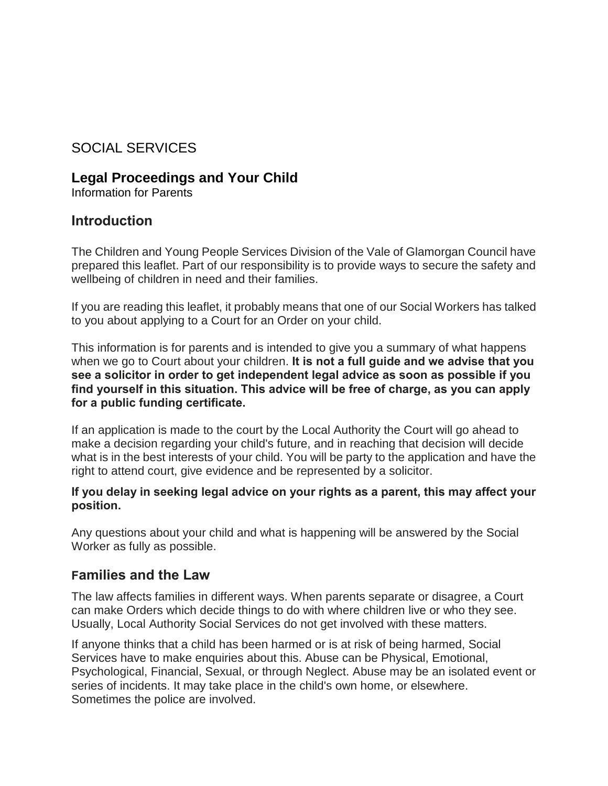## SOCIAL SERVICES

### **Legal Proceedings and Your Child**

Information for Parents

### **Introduction**

The Children and Young People Services Division of the Vale of Glamorgan Council have prepared this leaflet. Part of our responsibility is to provide ways to secure the safety and wellbeing of children in need and their families.

If you are reading this leaflet, it probably means that one of our Social Workers has talked to you about applying to a Court for an Order on your child.

This information is for parents and is intended to give you a summary of what happens when we go to Court about your children. **It is not a full guide and we advise that you see a solicitor in order to get independent legal advice as soon as possible if you find yourself in this situation. This advice will be free of charge, as you can apply for a public funding certificate.** 

If an application is made to the court by the Local Authority the Court will go ahead to make a decision regarding your child's future, and in reaching that decision will decide what is in the best interests of your child. You will be party to the application and have the right to attend court, give evidence and be represented by a solicitor.

#### **If you delay in seeking legal advice on your rights as a parent, this may affect your position.**

Any questions about your child and what is happening will be answered by the Social Worker as fully as possible.

### **Families and the Law**

The law affects families in different ways. When parents separate or disagree, a Court can make Orders which decide things to do with where children live or who they see. Usually, Local Authority Social Services do not get involved with these matters.

If anyone thinks that a child has been harmed or is at risk of being harmed, Social Services have to make enquiries about this. Abuse can be Physical, Emotional, Psychological, Financial, Sexual, or through Neglect. Abuse may be an isolated event or series of incidents. It may take place in the child's own home, or elsewhere. Sometimes the police are involved.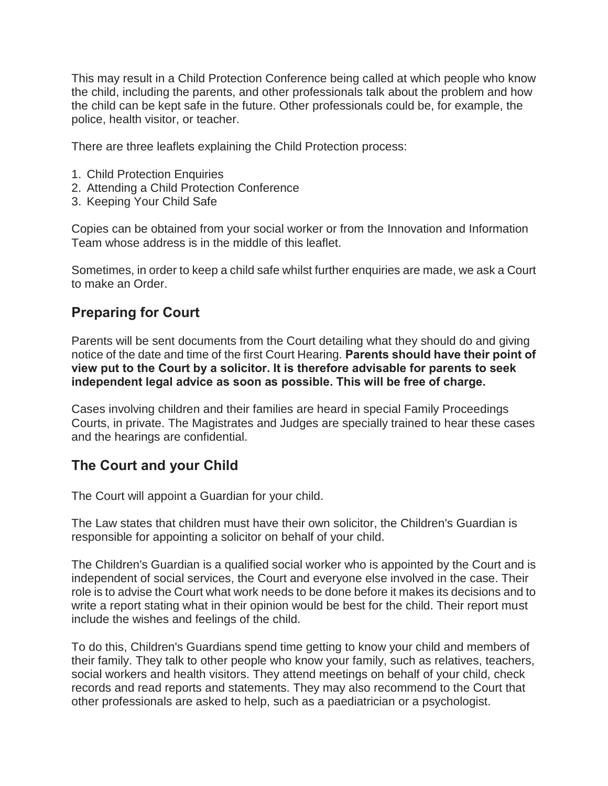This may result in a Child Protection Conference being called at which people who know the child, including the parents, and other professionals talk about the problem and how the child can be kept safe in the future. Other professionals could be, for example, the police, health visitor, or teacher.

There are three leaflets explaining the Child Protection process:

- 1. Child Protection Enquiries
- 2. Attending a Child Protection Conference
- 3. Keeping Your Child Safe

Copies can be obtained from your social worker or from the Innovation and Information Team whose address is in the middle of this leaflet.

Sometimes, in order to keep a child safe whilst further enquiries are made, we ask a Court to make an Order.

### **Preparing for Court**

Parents will be sent documents from the Court detailing what they should do and giving notice of the date and time of the first Court Hearing. **Parents should have their point of view put to the Court by a solicitor. It is therefore advisable for parents to seek independent legal advice as soon as possible. This will be free of charge.** 

Cases involving children and their families are heard in special Family Proceedings Courts, in private. The Magistrates and Judges are specially trained to hear these cases and the hearings are confidential.

### **The Court and your Child**

The Court will appoint a Guardian for your child.

The Law states that children must have their own solicitor, the Children's Guardian is responsible for appointing a solicitor on behalf of your child.

The Children's Guardian is a qualified social worker who is appointed by the Court and is independent of social services, the Court and everyone else involved in the case. Their role is to advise the Court what work needs to be done before it makes its decisions and to write a report stating what in their opinion would be best for the child. Their report must include the wishes and feelings of the child.

To do this, Children's Guardians spend time getting to know your child and members of their family. They talk to other people who know your family, such as relatives, teachers, social workers and health visitors. They attend meetings on behalf of your child, check records and read reports and statements. They may also recommend to the Court that other professionals are asked to help, such as a paediatrician or a psychologist.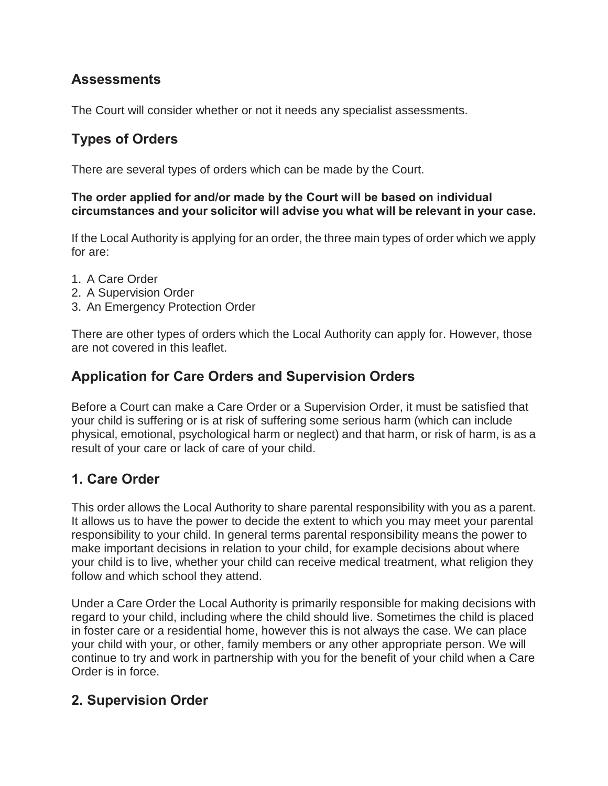## **Assessments**

The Court will consider whether or not it needs any specialist assessments.

# **Types of Orders**

There are several types of orders which can be made by the Court.

#### **The order applied for and/or made by the Court will be based on individual circumstances and your solicitor will advise you what will be relevant in your case.**

If the Local Authority is applying for an order, the three main types of order which we apply for are:

- 1. A Care Order
- 2. A Supervision Order
- 3. An Emergency Protection Order

There are other types of orders which the Local Authority can apply for. However, those are not covered in this leaflet.

## **Application for Care Orders and Supervision Orders**

Before a Court can make a Care Order or a Supervision Order, it must be satisfied that your child is suffering or is at risk of suffering some serious harm (which can include physical, emotional, psychological harm or neglect) and that harm, or risk of harm, is as a result of your care or lack of care of your child.

# **1. Care Order**

This order allows the Local Authority to share parental responsibility with you as a parent. It allows us to have the power to decide the extent to which you may meet your parental responsibility to your child. In general terms parental responsibility means the power to make important decisions in relation to your child, for example decisions about where your child is to live, whether your child can receive medical treatment, what religion they follow and which school they attend.

Under a Care Order the Local Authority is primarily responsible for making decisions with regard to your child, including where the child should live. Sometimes the child is placed in foster care or a residential home, however this is not always the case. We can place your child with your, or other, family members or any other appropriate person. We will continue to try and work in partnership with you for the benefit of your child when a Care Order is in force.

## **2. Supervision Order**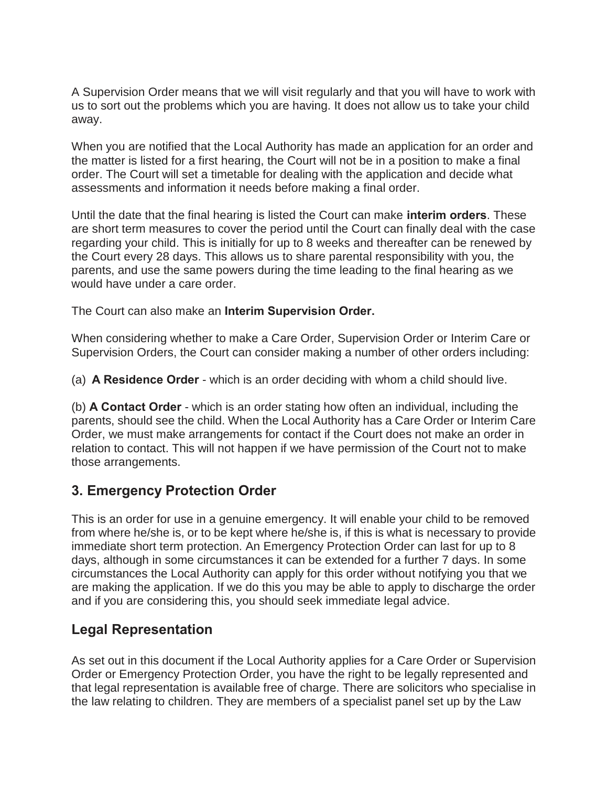A Supervision Order means that we will visit regularly and that you will have to work with us to sort out the problems which you are having. It does not allow us to take your child away.

When you are notified that the Local Authority has made an application for an order and the matter is listed for a first hearing, the Court will not be in a position to make a final order. The Court will set a timetable for dealing with the application and decide what assessments and information it needs before making a final order.

Until the date that the final hearing is listed the Court can make **interim orders**. These are short term measures to cover the period until the Court can finally deal with the case regarding your child. This is initially for up to 8 weeks and thereafter can be renewed by the Court every 28 days. This allows us to share parental responsibility with you, the parents, and use the same powers during the time leading to the final hearing as we would have under a care order.

The Court can also make an **Interim Supervision Order.** 

When considering whether to make a Care Order, Supervision Order or Interim Care or Supervision Orders, the Court can consider making a number of other orders including:

(a) **A Residence Order** - which is an order deciding with whom a child should live.

(b) **A Contact Order** - which is an order stating how often an individual, including the parents, should see the child. When the Local Authority has a Care Order or Interim Care Order, we must make arrangements for contact if the Court does not make an order in relation to contact. This will not happen if we have permission of the Court not to make those arrangements.

# **3. Emergency Protection Order**

This is an order for use in a genuine emergency. It will enable your child to be removed from where he/she is, or to be kept where he/she is, if this is what is necessary to provide immediate short term protection. An Emergency Protection Order can last for up to 8 days, although in some circumstances it can be extended for a further 7 days. In some circumstances the Local Authority can apply for this order without notifying you that we are making the application. If we do this you may be able to apply to discharge the order and if you are considering this, you should seek immediate legal advice.

## **Legal Representation**

As set out in this document if the Local Authority applies for a Care Order or Supervision Order or Emergency Protection Order, you have the right to be legally represented and that legal representation is available free of charge. There are solicitors who specialise in the law relating to children. They are members of a specialist panel set up by the Law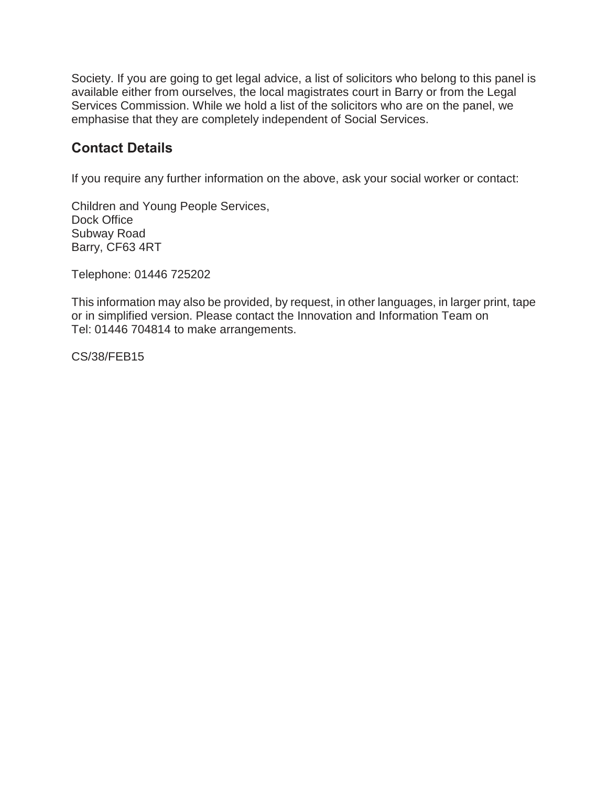Society. If you are going to get legal advice, a list of solicitors who belong to this panel is available either from ourselves, the local magistrates court in Barry or from the Legal Services Commission. While we hold a list of the solicitors who are on the panel, we emphasise that they are completely independent of Social Services.

## **Contact Details**

If you require any further information on the above, ask your social worker or contact:

Children and Young People Services, Dock Office Subway Road Barry, CF63 4RT

Telephone: 01446 725202

This information may also be provided, by request, in other languages, in larger print, tape or in simplified version. Please contact the Innovation and Information Team on Tel: 01446 704814 to make arrangements.

CS/38/FEB15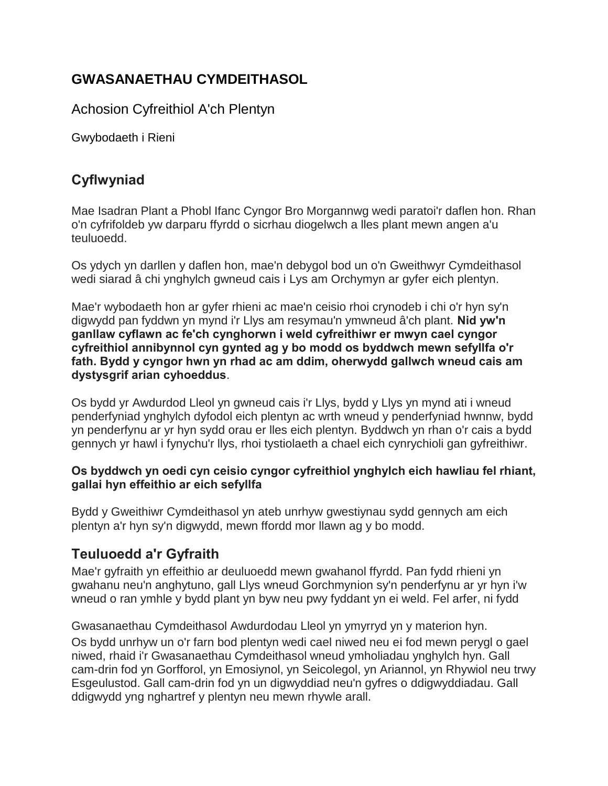# **GWASANAETHAU CYMDEITHASOL**

Achosion Cyfreithiol A'ch Plentyn

Gwybodaeth i Rieni

# **Cyflwyniad**

Mae Isadran Plant a Phobl Ifanc Cyngor Bro Morgannwg wedi paratoi'r daflen hon. Rhan o'n cyfrifoldeb yw darparu ffyrdd o sicrhau diogelwch a lles plant mewn angen a'u teuluoedd.

Os ydych yn darllen y daflen hon, mae'n debygol bod un o'n Gweithwyr Cymdeithasol wedi siarad â chi ynghylch gwneud cais i Lys am Orchymyn ar gyfer eich plentyn.

Mae'r wybodaeth hon ar gyfer rhieni ac mae'n ceisio rhoi crynodeb i chi o'r hyn sy'n digwydd pan fyddwn yn mynd i'r Llys am resymau'n ymwneud â'ch plant. **Nid yw'n ganllaw cyflawn ac fe'ch cynghorwn i weld cyfreithiwr er mwyn cael cyngor cyfreithiol annibynnol cyn gynted ag y bo modd os byddwch mewn sefyllfa o'r fath. Bydd y cyngor hwn yn rhad ac am ddim, oherwydd gallwch wneud cais am dystysgrif arian cyhoeddus**.

Os bydd yr Awdurdod Lleol yn gwneud cais i'r Llys, bydd y Llys yn mynd ati i wneud penderfyniad ynghylch dyfodol eich plentyn ac wrth wneud y penderfyniad hwnnw, bydd yn penderfynu ar yr hyn sydd orau er lles eich plentyn. Byddwch yn rhan o'r cais a bydd gennych yr hawl i fynychu'r llys, rhoi tystiolaeth a chael eich cynrychioli gan gyfreithiwr.

### **Os byddwch yn oedi cyn ceisio cyngor cyfreithiol ynghylch eich hawliau fel rhiant, gallai hyn effeithio ar eich sefyllfa**

Bydd y Gweithiwr Cymdeithasol yn ateb unrhyw gwestiynau sydd gennych am eich plentyn a'r hyn sy'n digwydd, mewn ffordd mor llawn ag y bo modd.

# **Teuluoedd a'r Gyfraith**

Mae'r gyfraith yn effeithio ar deuluoedd mewn gwahanol ffyrdd. Pan fydd rhieni yn gwahanu neu'n anghytuno, gall Llys wneud Gorchmynion sy'n penderfynu ar yr hyn i'w wneud o ran ymhle y bydd plant yn byw neu pwy fyddant yn ei weld. Fel arfer, ni fydd

Gwasanaethau Cymdeithasol Awdurdodau Lleol yn ymyrryd yn y materion hyn. Os bydd unrhyw un o'r farn bod plentyn wedi cael niwed neu ei fod mewn perygl o gael niwed, rhaid i'r Gwasanaethau Cymdeithasol wneud ymholiadau ynghylch hyn. Gall cam-drin fod yn Gorfforol, yn Emosiynol, yn Seicolegol, yn Ariannol, yn Rhywiol neu trwy Esgeulustod. Gall cam-drin fod yn un digwyddiad neu'n gyfres o ddigwyddiadau. Gall ddigwydd yng nghartref y plentyn neu mewn rhywle arall.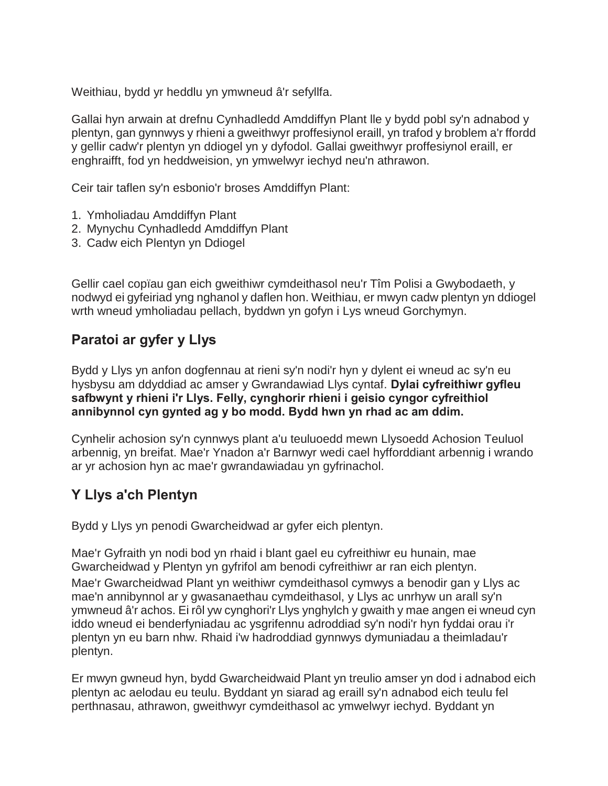Weithiau, bydd yr heddlu yn ymwneud â'r sefyllfa.

Gallai hyn arwain at drefnu Cynhadledd Amddiffyn Plant lle y bydd pobl sy'n adnabod y plentyn, gan gynnwys y rhieni a gweithwyr proffesiynol eraill, yn trafod y broblem a'r ffordd y gellir cadw'r plentyn yn ddiogel yn y dyfodol. Gallai gweithwyr proffesiynol eraill, er enghraifft, fod yn heddweision, yn ymwelwyr iechyd neu'n athrawon.

Ceir tair taflen sy'n esbonio'r broses Amddiffyn Plant:

- 1. Ymholiadau Amddiffyn Plant
- 2. Mynychu Cynhadledd Amddiffyn Plant
- 3. Cadw eich Plentyn yn Ddiogel

Gellir cael copïau gan eich gweithiwr cymdeithasol neu'r Tîm Polisi a Gwybodaeth, y nodwyd ei gyfeiriad yng nghanol y daflen hon. Weithiau, er mwyn cadw plentyn yn ddiogel wrth wneud ymholiadau pellach, byddwn yn gofyn i Lys wneud Gorchymyn.

## **Paratoi ar gyfer y Llys**

Bydd y Llys yn anfon dogfennau at rieni sy'n nodi'r hyn y dylent ei wneud ac sy'n eu hysbysu am ddyddiad ac amser y Gwrandawiad Llys cyntaf. **Dylai cyfreithiwr gyfleu safbwynt y rhieni i'r Llys. Felly, cynghorir rhieni i geisio cyngor cyfreithiol annibynnol cyn gynted ag y bo modd. Bydd hwn yn rhad ac am ddim.** 

Cynhelir achosion sy'n cynnwys plant a'u teuluoedd mewn Llysoedd Achosion Teuluol arbennig, yn breifat. Mae'r Ynadon a'r Barnwyr wedi cael hyfforddiant arbennig i wrando ar yr achosion hyn ac mae'r gwrandawiadau yn gyfrinachol.

# **Y Llys a'ch Plentyn**

Bydd y Llys yn penodi Gwarcheidwad ar gyfer eich plentyn.

Mae'r Gyfraith yn nodi bod yn rhaid i blant gael eu cyfreithiwr eu hunain, mae Gwarcheidwad y Plentyn yn gyfrifol am benodi cyfreithiwr ar ran eich plentyn. Mae'r Gwarcheidwad Plant yn weithiwr cymdeithasol cymwys a benodir gan y Llys ac mae'n annibynnol ar y gwasanaethau cymdeithasol, y Llys ac unrhyw un arall sy'n ymwneud â'r achos. Ei rôl yw cynghori'r Llys ynghylch y gwaith y mae angen ei wneud cyn iddo wneud ei benderfyniadau ac ysgrifennu adroddiad sy'n nodi'r hyn fyddai orau i'r plentyn yn eu barn nhw. Rhaid i'w hadroddiad gynnwys dymuniadau a theimladau'r plentyn.

Er mwyn gwneud hyn, bydd Gwarcheidwaid Plant yn treulio amser yn dod i adnabod eich plentyn ac aelodau eu teulu. Byddant yn siarad ag eraill sy'n adnabod eich teulu fel perthnasau, athrawon, gweithwyr cymdeithasol ac ymwelwyr iechyd. Byddant yn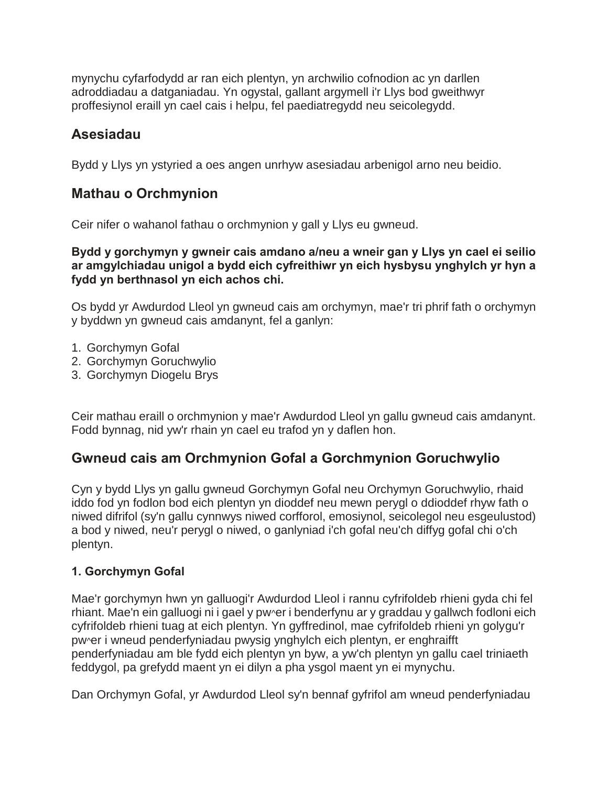mynychu cyfarfodydd ar ran eich plentyn, yn archwilio cofnodion ac yn darllen adroddiadau a datganiadau. Yn ogystal, gallant argymell i'r Llys bod gweithwyr proffesiynol eraill yn cael cais i helpu, fel paediatregydd neu seicolegydd.

## **Asesiadau**

Bydd y Llys yn ystyried a oes angen unrhyw asesiadau arbenigol arno neu beidio.

### **Mathau o Orchmynion**

Ceir nifer o wahanol fathau o orchmynion y gall y Llys eu gwneud.

#### **Bydd y gorchymyn y gwneir cais amdano a/neu a wneir gan y Llys yn cael ei seilio ar amgylchiadau unigol a bydd eich cyfreithiwr yn eich hysbysu ynghylch yr hyn a fydd yn berthnasol yn eich achos chi.**

Os bydd yr Awdurdod Lleol yn gwneud cais am orchymyn, mae'r tri phrif fath o orchymyn y byddwn yn gwneud cais amdanynt, fel a ganlyn:

- 1. Gorchymyn Gofal
- 2. Gorchymyn Goruchwylio
- 3. Gorchymyn Diogelu Brys

Ceir mathau eraill o orchmynion y mae'r Awdurdod Lleol yn gallu gwneud cais amdanynt. Fodd bynnag, nid yw'r rhain yn cael eu trafod yn y daflen hon.

## **Gwneud cais am Orchmynion Gofal a Gorchmynion Goruchwylio**

Cyn y bydd Llys yn gallu gwneud Gorchymyn Gofal neu Orchymyn Goruchwylio, rhaid iddo fod yn fodlon bod eich plentyn yn dioddef neu mewn perygl o ddioddef rhyw fath o niwed difrifol (sy'n gallu cynnwys niwed corfforol, emosiynol, seicolegol neu esgeulustod) a bod y niwed, neu'r perygl o niwed, o ganlyniad i'ch gofal neu'ch diffyg gofal chi o'ch plentyn.

### **1. Gorchymyn Gofal**

Mae'r gorchymyn hwn yn galluogi'r Awdurdod Lleol i rannu cyfrifoldeb rhieni gyda chi fel rhiant. Mae'n ein galluogi ni i gael y pw^er i benderfynu ar y graddau y gallwch fodloni eich cyfrifoldeb rhieni tuag at eich plentyn. Yn gyffredinol, mae cyfrifoldeb rhieni yn golygu'r pw^er i wneud penderfyniadau pwysig ynghylch eich plentyn, er enghraifft penderfyniadau am ble fydd eich plentyn yn byw, a yw'ch plentyn yn gallu cael triniaeth feddygol, pa grefydd maent yn ei dilyn a pha ysgol maent yn ei mynychu.

Dan Orchymyn Gofal, yr Awdurdod Lleol sy'n bennaf gyfrifol am wneud penderfyniadau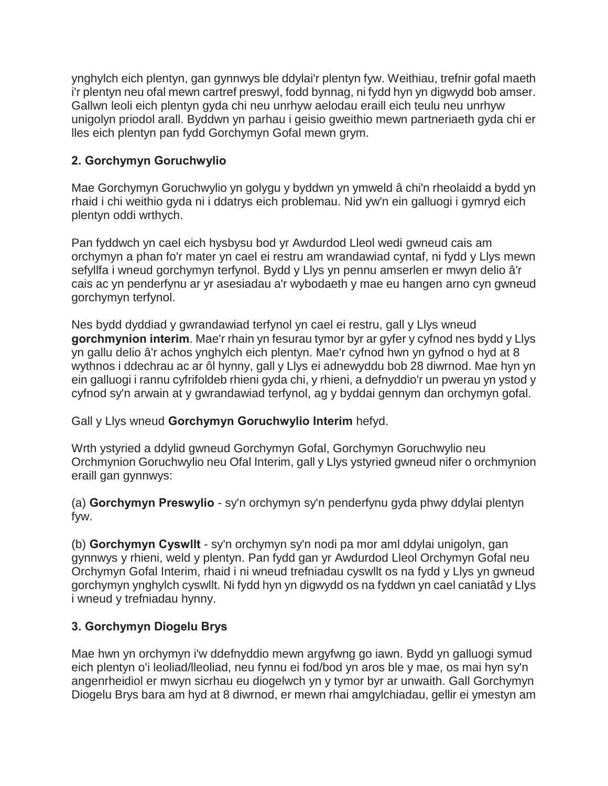ynghylch eich plentyn, gan gynnwys ble ddylai'r plentyn fyw. Weithiau, trefnir gofal maeth i'r plentyn neu ofal mewn cartref preswyl, fodd bynnag, ni fydd hyn yn digwydd bob amser. Gallwn leoli eich plentyn gyda chi neu unrhyw aelodau eraill eich teulu neu unrhyw unigolyn priodol arall. Byddwn yn parhau i geisio gweithio mewn partneriaeth gyda chi er lles eich plentyn pan fydd Gorchymyn Gofal mewn grym.

### **2. Gorchymyn Goruchwylio**

Mae Gorchymyn Goruchwylio yn golygu y byddwn yn ymweld â chi'n rheolaidd a bydd yn rhaid i chi weithio gyda ni i ddatrys eich problemau. Nid yw'n ein galluogi i gymryd eich plentyn oddi wrthych.

Pan fyddwch yn cael eich hysbysu bod yr Awdurdod Lleol wedi gwneud cais am orchymyn a phan fo'r mater yn cael ei restru am wrandawiad cyntaf, ni fydd y Llys mewn sefyllfa i wneud gorchymyn terfynol. Bydd y Llys yn pennu amserlen er mwyn delio â'r cais ac yn penderfynu ar yr asesiadau a'r wybodaeth y mae eu hangen arno cyn gwneud gorchymyn terfynol.

Nes bydd dyddiad y gwrandawiad terfynol yn cael ei restru, gall y Llys wneud **gorchmynion interim**. Mae'r rhain yn fesurau tymor byr ar gyfer y cyfnod nes bydd y Llys yn gallu delio â'r achos ynghylch eich plentyn. Mae'r cyfnod hwn yn gyfnod o hyd at 8 wythnos i ddechrau ac ar ôl hynny, gall y Llys ei adnewyddu bob 28 diwrnod. Mae hyn yn ein galluogi i rannu cyfrifoldeb rhieni gyda chi, y rhieni, a defnyddio'r un pwerau yn ystod y cyfnod sy'n arwain at y gwrandawiad terfynol, ag y byddai gennym dan orchymyn gofal.

Gall y Llys wneud **Gorchymyn Goruchwylio Interim** hefyd.

Wrth ystyried a ddylid gwneud Gorchymyn Gofal, Gorchymyn Goruchwylio neu Orchmynion Goruchwylio neu Ofal Interim, gall y Llys ystyried gwneud nifer o orchmynion eraill gan gynnwys:

(a) **Gorchymyn Preswylio** - sy'n orchymyn sy'n penderfynu gyda phwy ddylai plentyn fyw.

(b) **Gorchymyn Cyswllt** - sy'n orchymyn sy'n nodi pa mor aml ddylai unigolyn, gan gynnwys y rhieni, weld y plentyn. Pan fydd gan yr Awdurdod Lleol Orchymyn Gofal neu Orchymyn Gofal Interim, rhaid i ni wneud trefniadau cyswllt os na fydd y Llys yn gwneud gorchymyn ynghylch cyswllt. Ni fydd hyn yn digwydd os na fyddwn yn cael caniatâd y Llys i wneud y trefniadau hynny.

### **3. Gorchymyn Diogelu Brys**

Mae hwn yn orchymyn i'w ddefnyddio mewn argyfwng go iawn. Bydd yn galluogi symud eich plentyn o'i leoliad/lleoliad, neu fynnu ei fod/bod yn aros ble y mae, os mai hyn sy'n angenrheidiol er mwyn sicrhau eu diogelwch yn y tymor byr ar unwaith. Gall Gorchymyn Diogelu Brys bara am hyd at 8 diwrnod, er mewn rhai amgylchiadau, gellir ei ymestyn am